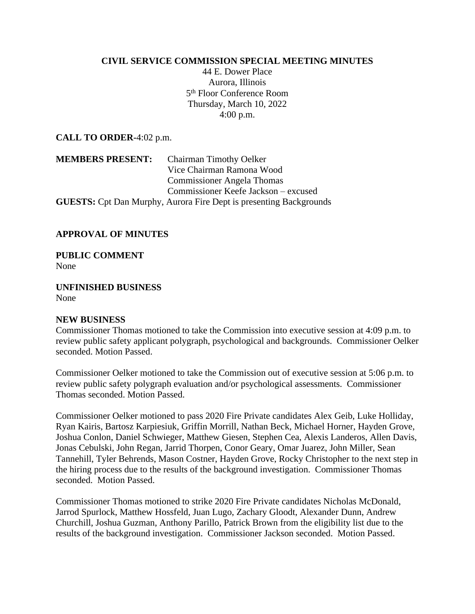## **CIVIL SERVICE COMMISSION SPECIAL MEETING MINUTES**

44 E. Dower Place Aurora, Illinois 5 th Floor Conference Room Thursday, March 10, 2022 4:00 p.m.

**CALL TO ORDER-**4:02 p.m.

**MEMBERS PRESENT:** Chairman Timothy Oelker Vice Chairman Ramona Wood Commissioner Angela Thomas Commissioner Keefe Jackson – excused **GUESTS:** Cpt Dan Murphy, Aurora Fire Dept is presenting Backgrounds

## **APPROVAL OF MINUTES**

**PUBLIC COMMENT** None

**UNFINISHED BUSINESS** None

## **NEW BUSINESS**

Commissioner Thomas motioned to take the Commission into executive session at 4:09 p.m. to review public safety applicant polygraph, psychological and backgrounds. Commissioner Oelker seconded. Motion Passed.

Commissioner Oelker motioned to take the Commission out of executive session at 5:06 p.m. to review public safety polygraph evaluation and/or psychological assessments. Commissioner Thomas seconded. Motion Passed.

Commissioner Oelker motioned to pass 2020 Fire Private candidates Alex Geib, Luke Holliday, Ryan Kairis, Bartosz Karpiesiuk, Griffin Morrill, Nathan Beck, Michael Horner, Hayden Grove, Joshua Conlon, Daniel Schwieger, Matthew Giesen, Stephen Cea, Alexis Landeros, Allen Davis, Jonas Cebulski, John Regan, Jarrid Thorpen, Conor Geary, Omar Juarez, John Miller, Sean Tannehill, Tyler Behrends, Mason Costner, Hayden Grove, Rocky Christopher to the next step in the hiring process due to the results of the background investigation. Commissioner Thomas seconded. Motion Passed.

Commissioner Thomas motioned to strike 2020 Fire Private candidates Nicholas McDonald, Jarrod Spurlock, Matthew Hossfeld, Juan Lugo, Zachary Gloodt, Alexander Dunn, Andrew Churchill, Joshua Guzman, Anthony Parillo, Patrick Brown from the eligibility list due to the results of the background investigation. Commissioner Jackson seconded. Motion Passed.